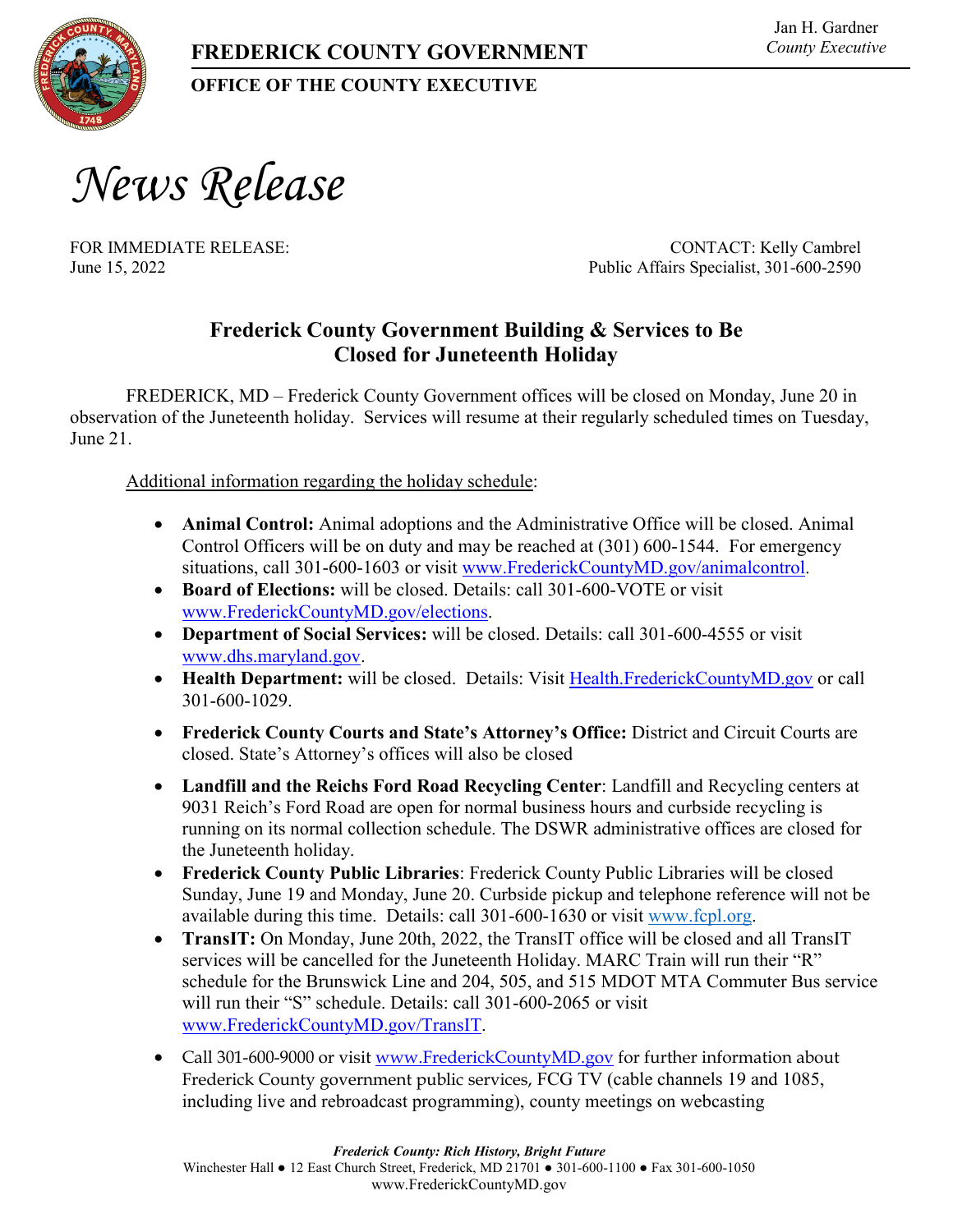

## **OFFICE OF THE COUNTY EXECUTIVE**

*News Release*

FOR IMMEDIATE RELEASE: CONTACT: Kelly Cambrel June 15, 2022 Public Affairs Specialist, 301-600-2590

## **Frederick County Government Building & Services to Be Closed for Juneteenth Holiday**

FREDERICK, MD – Frederick County Government offices will be closed on Monday, June 20 in observation of the Juneteenth holiday. Services will resume at their regularly scheduled times on Tuesday, June 21

Additional information regarding the holiday schedule:

- **Animal Control:** Animal adoptions and the Administrative Office will be closed. Animal Control Officers will be on duty and may be reached at (301) 600-1544. For emergency situations, call 301-600-1603 or visit [www.FrederickCountyMD.gov/animalcontrol.](http://www.frederickcountymd.gov/animalcontrol)
- **Board of Elections:** will be closed. Details: call 301-600-VOTE or visit [www.FrederickCountyMD.gov/elections.](http://www.frederickcountymd.gov/elections)
- **Department of Social Services:** will be closed. Details: call 301-600-4555 or visit [www.dhs.maryland.gov.](http://www.dhs.maryland.gov/)
- **Health Department:** will be closed. Details: Visit [Health.FrederickCountyMD.gov](http://www.frederickcountymd.gov/HealthDept) or call 301-600-1029.
- **Frederick County Courts and State's Attorney's Office:** District and Circuit Courts are closed. State's Attorney's offices will also be closed
- **Landfill and the Reichs Ford Road Recycling Center**: Landfill and Recycling centers at 9031 Reich's Ford Road are open for normal business hours and curbside recycling is running on its normal collection schedule. The DSWR administrative offices are closed for the Juneteenth holiday.
- **Frederick County Public Libraries**: Frederick County Public Libraries will be closed Sunday, June 19 and Monday, June 20. Curbside pickup and telephone reference will not be available during this time. Details: call 301-600-1630 or visit [www.fcpl.org.](http://www.fcpl.org/)
- **TransIT:** On Monday, June 20th, 2022, the TransIT office will be closed and all TransIT services will be cancelled for the Juneteenth Holiday. MARC Train will run their "R" schedule for the Brunswick Line and 204, 505, and 515 MDOT MTA Commuter Bus service will run their "S" schedule. Details: call 301-600-2065 or visit [www.FrederickCountyMD.gov/TransIT.](http://www.frederickcountymd.gov/TransIT)
- Call 301-600-9000 or visit [www.FrederickCountyMD.gov](http://www.frederickcountymd.gov/) for further information about Frederick County government public services, FCG TV (cable channels 19 and 1085, including live and rebroadcast programming), county meetings on webcasting